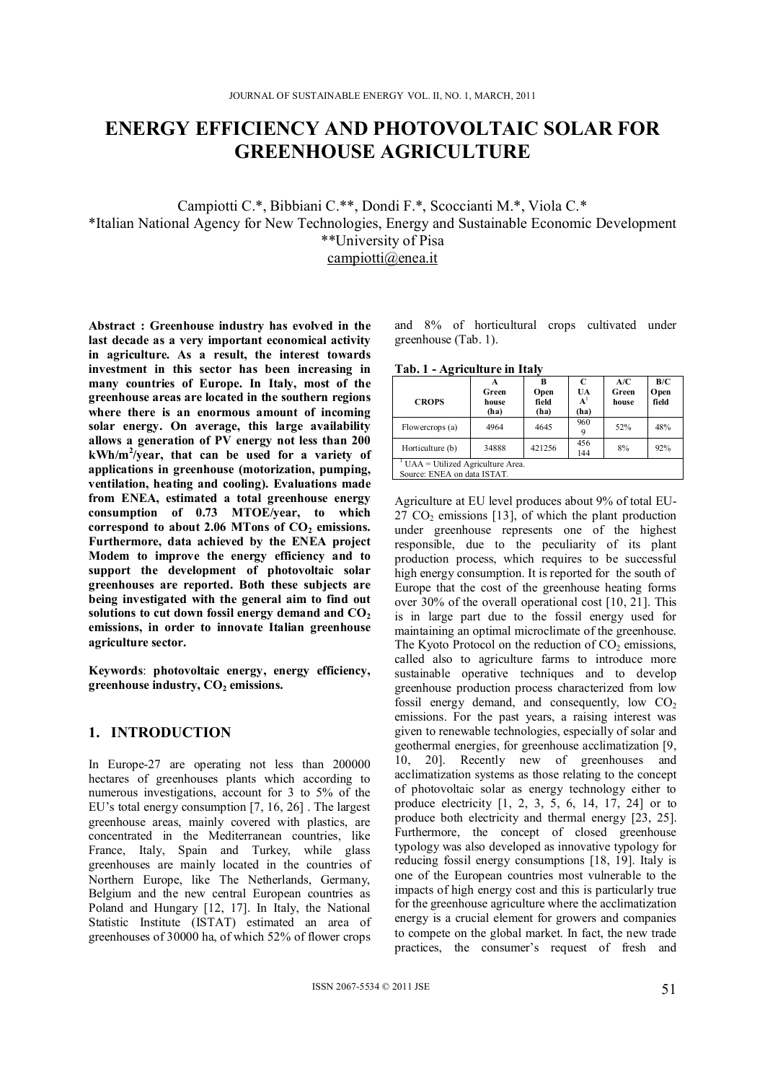# **ENERGY EFFICIENCY AND PHOTOVOLTAIC SOLAR FOR GREENHOUSE AGRICULTURE**

Campiotti C.\*, Bibbiani C.\*\*, Dondi F.\*, Scoccianti M.\*, Viola C.\* \*Italian National Agency for New Technologies, Energy and Sustainable Economic Development \*\*University of Pisa

campiotti@enea.it

**Abstract : Greenhouse industry has evolved in the last decade as a very important economical activity in agriculture. As a result, the interest towards investment in this sector has been increasing in many countries of Europe. In Italy, most of the greenhouse areas are located in the southern regions where there is an enormous amount of incoming solar energy. On average, this large availability allows a generation of PV energy not less than 200 kWh/m<sup>2</sup> /year, that can be used for a variety of applications in greenhouse (motorization, pumping, ventilation, heating and cooling). Evaluations made from ENEA, estimated a total greenhouse energy consumption of 0.73 MTOE/year, to which**  correspond to about 2.06 MTons of CO<sub>2</sub> emissions. **Furthermore, data achieved by the ENEA project Modem to improve the energy efficiency and to support the development of photovoltaic solar greenhouses are reported. Both these subjects are being investigated with the general aim to find out**  solutions to cut down fossil energy demand and CO<sub>2</sub> **emissions, in order to innovate Italian greenhouse agriculture sector.** 

**Keywords**: **photovoltaic energy, energy efficiency,**  greenhouse industry,  $CO<sub>2</sub>$  emissions.

# **1. INTRODUCTION**

In Europe-27 are operating not less than 200000 hectares of greenhouses plants which according to numerous investigations, account for 3 to 5% of the EU's total energy consumption [7, 16, 26] . The largest greenhouse areas, mainly covered with plastics, are concentrated in the Mediterranean countries, like France, Italy, Spain and Turkey, while glass greenhouses are mainly located in the countries of Northern Europe, like The Netherlands, Germany, Belgium and the new central European countries as Poland and Hungary [12, 17]. In Italy, the National Statistic Institute (ISTAT) estimated an area of greenhouses of 30000 ha, of which 52% of flower crops

and 8% of horticultural crops cultivated under greenhouse (Tab. 1).

**Tab. 1 - Agriculture in Italy** 

| <b>CROPS</b>                                                       | A<br>Green<br>house<br>(ha) | R<br>Open<br>field<br>(ha) | C<br>UA<br>${\bf A}^1$<br>(ha) | A/C<br>Green<br>house | B/C<br>Open<br>field |
|--------------------------------------------------------------------|-----------------------------|----------------------------|--------------------------------|-----------------------|----------------------|
| Flowercrops (a)                                                    | 4964                        | 4645                       | 960                            | 52%                   | 48%                  |
| Horticulture (b)                                                   | 34888                       | 421256                     | 456<br>144                     | 8%                    | 92%                  |
| $UAA = Utilized Agriculture Area$ .<br>Source: ENEA on data ISTAT. |                             |                            |                                |                       |                      |

Agriculture at EU level produces about 9% of total EU- $27 \text{ CO}_2$  emissions [13], of which the plant production under greenhouse represents one of the highest responsible, due to the peculiarity of its plant production process, which requires to be successful high energy consumption. It is reported for the south of Europe that the cost of the greenhouse heating forms over 30% of the overall operational cost [10, 21]. This is in large part due to the fossil energy used for maintaining an optimal microclimate of the greenhouse. The Kyoto Protocol on the reduction of  $CO<sub>2</sub>$  emissions, called also to agriculture farms to introduce more sustainable operative techniques and to develop greenhouse production process characterized from low fossil energy demand, and consequently, low  $CO<sub>2</sub>$ emissions. For the past years, a raising interest was given to renewable technologies, especially of solar and geothermal energies, for greenhouse acclimatization [9, 10, 20]. Recently new of greenhouses and acclimatization systems as those relating to the concept of photovoltaic solar as energy technology either to produce electricity [1, 2, 3, 5, 6, 14, 17, 24] or to produce both electricity and thermal energy [23, 25]. Furthermore, the concept of closed greenhouse typology was also developed as innovative typology for reducing fossil energy consumptions [18, 19]. Italy is one of the European countries most vulnerable to the impacts of high energy cost and this is particularly true for the greenhouse agriculture where the acclimatization energy is a crucial element for growers and companies to compete on the global market. In fact, the new trade practices, the consumer's request of fresh and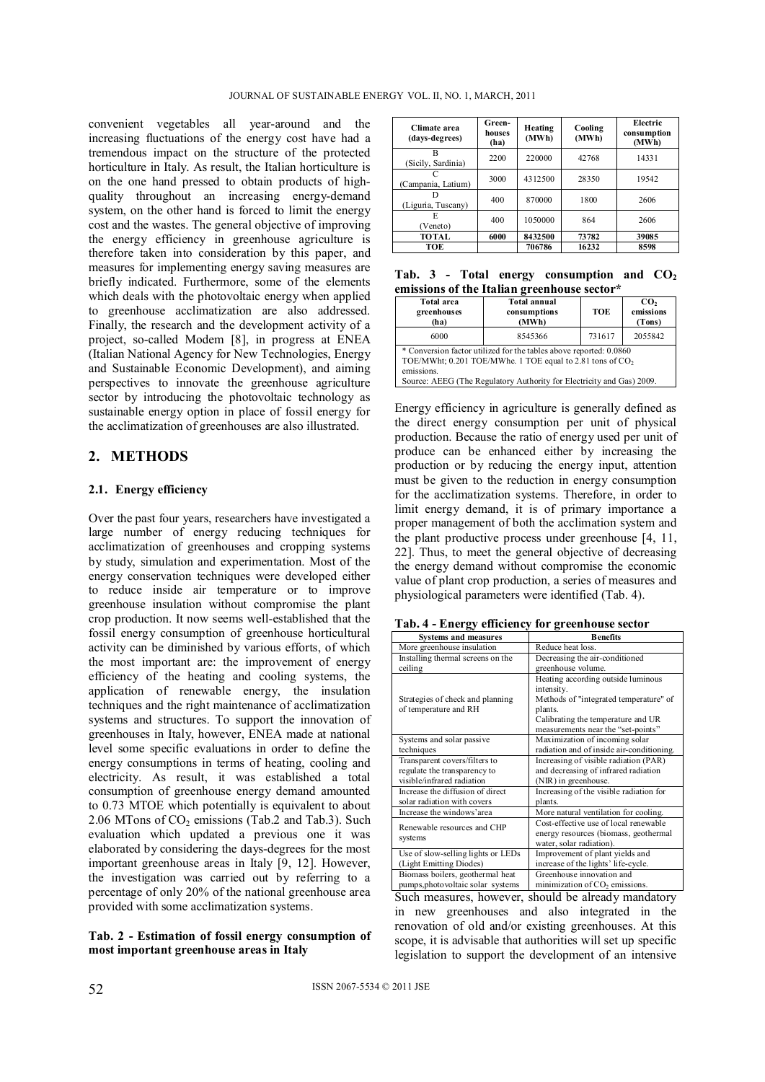convenient vegetables all year-around and the increasing fluctuations of the energy cost have had a tremendous impact on the structure of the protected horticulture in Italy. As result, the Italian horticulture is on the one hand pressed to obtain products of highquality throughout an increasing energy-demand system, on the other hand is forced to limit the energy cost and the wastes. The general objective of improving the energy efficiency in greenhouse agriculture is therefore taken into consideration by this paper, and measures for implementing energy saving measures are briefly indicated. Furthermore, some of the elements which deals with the photovoltaic energy when applied to greenhouse acclimatization are also addressed. Finally, the research and the development activity of a project, so-called Modem [8], in progress at ENEA (Italian National Agency for New Technologies, Energy and Sustainable Economic Development), and aiming perspectives to innovate the greenhouse agriculture sector by introducing the photovoltaic technology as sustainable energy option in place of fossil energy for the acclimatization of greenhouses are also illustrated.

# **2. METHODS**

#### **2.1. Energy efficiency**

Over the past four years, researchers have investigated a large number of energy reducing techniques for acclimatization of greenhouses and cropping systems by study, simulation and experimentation. Most of the energy conservation techniques were developed either to reduce inside air temperature or to improve greenhouse insulation without compromise the plant crop production. It now seems well-established that the fossil energy consumption of greenhouse horticultural activity can be diminished by various efforts, of which the most important are: the improvement of energy efficiency of the heating and cooling systems, the application of renewable energy, the insulation techniques and the right maintenance of acclimatization systems and structures. To support the innovation of greenhouses in Italy, however, ENEA made at national level some specific evaluations in order to define the energy consumptions in terms of heating, cooling and electricity. As result, it was established a total consumption of greenhouse energy demand amounted to 0.73 MTOE which potentially is equivalent to about 2.06 MTons of  $CO<sub>2</sub>$  emissions (Tab.2 and Tab.3). Such evaluation which updated a previous one it was elaborated by considering the days-degrees for the most important greenhouse areas in Italy [9, 12]. However, the investigation was carried out by referring to a percentage of only 20% of the national greenhouse area provided with some acclimatization systems.

#### **Tab. 2 - Estimation of fossil energy consumption of most important greenhouse areas in Italy**

| Climate area<br>(days-degrees) | Green-<br>houses<br>(ha) | Heating<br>(MWh) | Cooling<br>(MWh) | Electric<br>consumption<br>(MWh) |
|--------------------------------|--------------------------|------------------|------------------|----------------------------------|
| в<br>(Sicily, Sardinia)        | 2200                     | 220000           | 42768            | 14331                            |
| (Campania, Latium)             | 3000                     | 4312500          | 28350            | 19542                            |
| (Liguria, Tuscany)             | 400                      | 870000           | 1800             | 2606                             |
| E<br>(Veneto)                  | 400                      | 1050000          | 864              | 2606                             |
| <b>TOTAL</b>                   | 6000                     | 8432500          | 73782            | 39085                            |
| TOE                            |                          | 706786           | 16232            | 8598                             |

|  |  | Tab. 3 - Total energy consumption and $CO2$ |  |
|--|--|---------------------------------------------|--|
|  |  | emissions of the Italian greenhouse sector* |  |

| <b>Total area</b><br>greenhouses<br>(ha)                                                                                                                                                                                           | <b>Total annual</b><br>consumptions<br>(MWh) |        | $\mathbf{CO}$<br>emissions<br>(Tons) |  |  |
|------------------------------------------------------------------------------------------------------------------------------------------------------------------------------------------------------------------------------------|----------------------------------------------|--------|--------------------------------------|--|--|
| 6000                                                                                                                                                                                                                               | 8545366                                      | 731617 | 2055842                              |  |  |
| * Conversion factor utilized for the tables above reported: 0.0860<br>TOE/MWht; 0.201 TOE/MWhe. 1 TOE equal to 2.81 tons of CO <sub>2</sub><br>emissions.<br>Source: AEEG (The Regulatory Authority for Electricity and Gas) 2009. |                                              |        |                                      |  |  |

Energy efficiency in agriculture is generally defined as the direct energy consumption per unit of physical production. Because the ratio of energy used per unit of produce can be enhanced either by increasing the production or by reducing the energy input, attention must be given to the reduction in energy consumption for the acclimatization systems. Therefore, in order to limit energy demand, it is of primary importance a proper management of both the acclimation system and the plant productive process under greenhouse [4, 11, 22]. Thus, to meet the general objective of decreasing the energy demand without compromise the economic value of plant crop production, a series of measures and physiological parameters were identified (Tab. 4).

| Tab. 4 - Energy efficiency for greenhouse sector |  |
|--------------------------------------------------|--|
|--------------------------------------------------|--|

| <b>Systems and measures</b>        | <b>Benefits</b>                           |  |  |
|------------------------------------|-------------------------------------------|--|--|
| More greenhouse insulation         | Reduce heat loss.                         |  |  |
| Installing thermal screens on the  | Decreasing the air-conditioned            |  |  |
| ceiling                            | greenhouse volume.                        |  |  |
|                                    | Heating according outside luminous        |  |  |
|                                    | intensity.                                |  |  |
| Strategies of check and planning   | Methods of "integrated temperature" of    |  |  |
| of temperature and RH              | plants.                                   |  |  |
|                                    | Calibrating the temperature and UR        |  |  |
|                                    | measurements near the "set-points"        |  |  |
| Systems and solar passive          | Maximization of incoming solar            |  |  |
| techniques                         | radiation and of inside air-conditioning. |  |  |
| Transparent covers/filters to      | Increasing of visible radiation (PAR)     |  |  |
| regulate the transparency to       | and decreasing of infrared radiation      |  |  |
| visible/infrared radiation         | (NIR) in greenhouse.                      |  |  |
| Increase the diffusion of direct   | Increasing of the visible radiation for   |  |  |
| solar radiation with covers        | plants.                                   |  |  |
| Increase the windows'area          | More natural ventilation for cooling.     |  |  |
| Renewable resources and CHP        | Cost-effective use of local renewable     |  |  |
| systems                            | energy resources (biomass, geothermal     |  |  |
|                                    | water, solar radiation).                  |  |  |
| Use of slow-selling lights or LEDs | Improvement of plant yields and           |  |  |
| (Light Emitting Diodes)            | increase of the lights' life-cycle.       |  |  |
| Biomass boilers, geothermal heat   | Greenhouse innovation and                 |  |  |
| pumps, photo voltaic solar systems | minimization of $CO2$ emissions.          |  |  |

Such measures, however, should be already mandatory in new greenhouses and also integrated in the renovation of old and/or existing greenhouses. At this scope, it is advisable that authorities will set up specific legislation to support the development of an intensive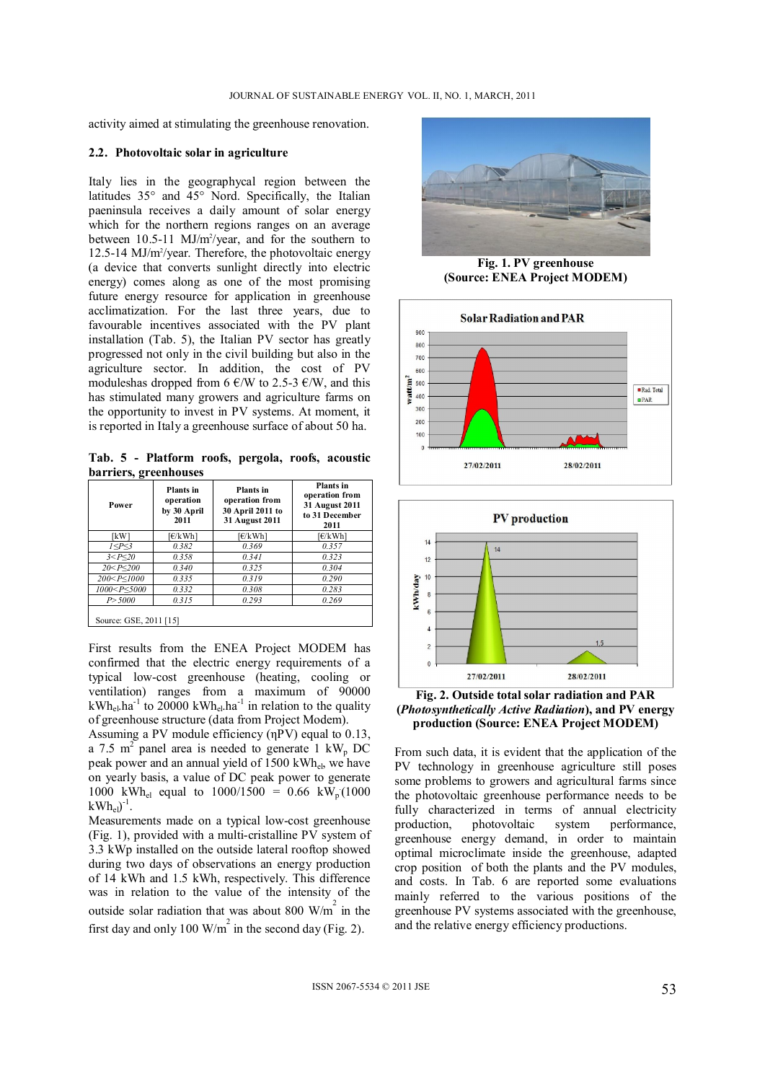activity aimed at stimulating the greenhouse renovation.

#### **2.2. Photovoltaic solar in agriculture**

Italy lies in the geographycal region between the latitudes 35° and 45° Nord. Specifically, the Italian paeninsula receives a daily amount of solar energy which for the northern regions ranges on an average between 10.5-11 MJ/m<sup>2</sup>/year, and for the southern to 12.5-14 MJ/m<sup>2</sup>/year. Therefore, the photovoltaic energy (a device that converts sunlight directly into electric energy) comes along as one of the most promising future energy resource for application in greenhouse acclimatization. For the last three years, due to favourable incentives associated with the PV plant installation (Tab. 5), the Italian PV sector has greatly progressed not only in the civil building but also in the agriculture sector. In addition, the cost of PV moduleshas dropped from 6  $\epsilon$ /W to 2.5-3  $\epsilon$ /W, and this has stimulated many growers and agriculture farms on the opportunity to invest in PV systems. At moment, it is reported in Italy a greenhouse surface of about 50 ha.

**Tab. 5 - Platform roofs, pergola, roofs, acoustic barriers, greenhouses** 

| Power                                                                    | <b>Plants</b> in<br>operation<br>by 30 April<br>2011 | Plants in<br>operation from<br>30 April 2011 to<br>31 August 2011 | <b>Plants</b> in<br>operation from<br>31 August 2011<br>to 31 December<br>2011 |
|--------------------------------------------------------------------------|------------------------------------------------------|-------------------------------------------------------------------|--------------------------------------------------------------------------------|
| [kW]                                                                     | [€/kWh]                                              | f€/kWh1                                                           | f€/kWh1                                                                        |
| 1 < P < 3                                                                | 0.382                                                | 0.369                                                             | 0.357                                                                          |
| 3 < P < 20                                                               | 0.358                                                | 0.341                                                             | 0.323                                                                          |
| $20 < P \leq 200$                                                        | 0.340                                                | 0.325                                                             | 0.304                                                                          |
| 200 < P < 1000                                                           | 0.335                                                | 0.319                                                             | 0.290                                                                          |
| 1000 <p<5000< td=""><td>0.332</td><td>0.308</td><td>0.283</td></p<5000<> | 0.332                                                | 0.308                                                             | 0.283                                                                          |
| P > 5000                                                                 | 0.315                                                | 0.293                                                             | 0.269                                                                          |
| Source: GSE, 2011 [15]                                                   |                                                      |                                                                   |                                                                                |

First results from the ENEA Project MODEM has confirmed that the electric energy requirements of a typical low-cost greenhouse (heating, cooling or ventilation) ranges from a maximum of 90000  $kWh_{el}$ .ha<sup>-1</sup> to 20000 kWh<sub>el</sub>.ha<sup>-1</sup> in relation to the quality of greenhouse structure (data from Project Modem).

Assuming a PV module efficiency (ηPV) equal to 0.13, a 7.5 m<sup>2</sup> panel area is needed to generate 1 kW<sub>p</sub> DC peak power and an annual yield of 1500 kWhel, we have on yearly basis, a value of DC peak power to generate 1000 kWh<sub>el</sub> equal to  $1000/1500 = 0.66$  kW<sub>p</sub>(1000  $kWh_{el})^{-1}$ .

Measurements made on a typical low-cost greenhouse (Fig. 1), provided with a multi-cristalline PV system of 3.3 kWp installed on the outside lateral rooftop showed during two days of observations an energy production of 14 kWh and 1.5 kWh, respectively. This difference was in relation to the value of the intensity of the outside solar radiation that was about 800 W/ $m^2$  in the first day and only 100 W/m<sup>2</sup> in the second day (Fig. 2).



**Fig. 1. PV greenhouse (Source: ENEA Project MODEM)** 





**Fig. 2. Outside total solar radiation and PAR (***Photosynthetically Active Radiation***), and PV energy production (Source: ENEA Project MODEM)** 

From such data, it is evident that the application of the PV technology in greenhouse agriculture still poses some problems to growers and agricultural farms since the photovoltaic greenhouse performance needs to be fully characterized in terms of annual electricity production, photovoltaic system performance, greenhouse energy demand, in order to maintain optimal microclimate inside the greenhouse, adapted crop position of both the plants and the PV modules, and costs. In Tab. 6 are reported some evaluations mainly referred to the various positions of the greenhouse PV systems associated with the greenhouse, and the relative energy efficiency productions.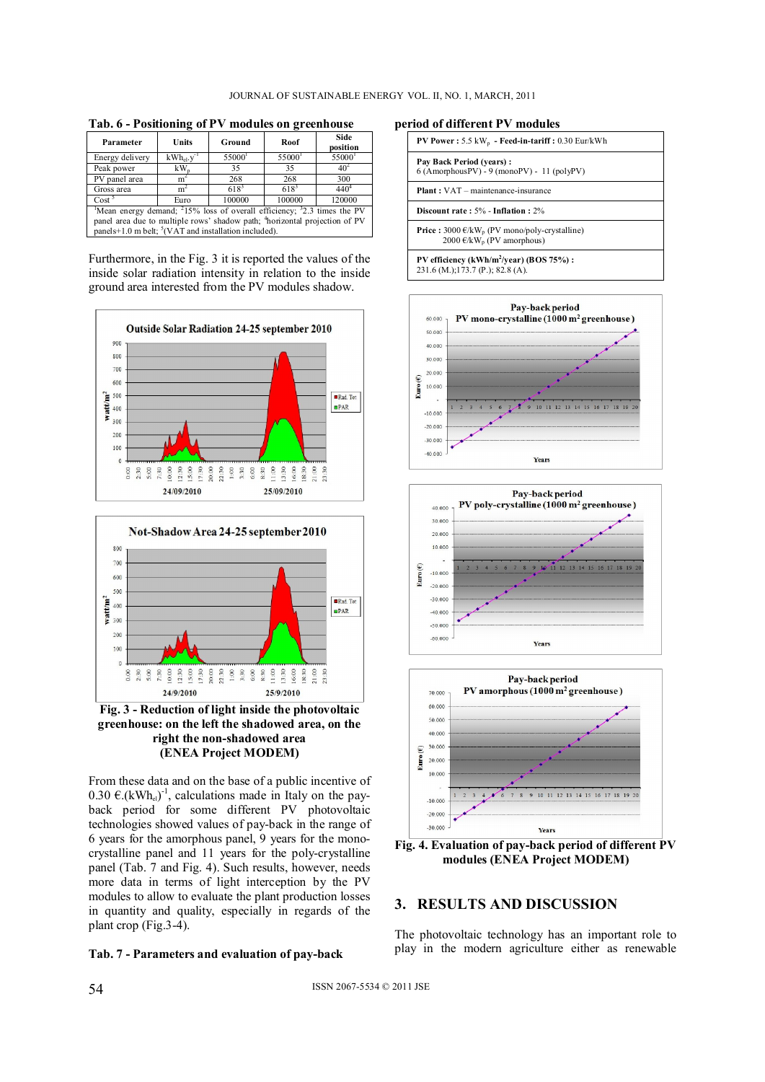**Tab. 6 - Positioning of PV modules on greenhouse** 

| Parameter                                                                                                   | Units                 | Ground             | Roof      | Side<br>position |  |
|-------------------------------------------------------------------------------------------------------------|-----------------------|--------------------|-----------|------------------|--|
| Energy delivery                                                                                             | $kWh_{el}$ , $v^{-1}$ | 55000 <sup>1</sup> | 55000     | 55000            |  |
| Peak power                                                                                                  | $kW_{n}$              | 35                 | 35        | 40 <sup>2</sup>  |  |
| PV panel area                                                                                               | m <sup>2</sup>        | 268                | 268       | 300              |  |
| Gross area                                                                                                  | m <sup>2</sup>        | $618^{3}$          | $618^{3}$ | $440^{4}$        |  |
| Cost <sup>5</sup><br>100000<br>100000<br>120000<br>Euro                                                     |                       |                    |           |                  |  |
| <sup>1</sup> Mean energy demand; <sup>2</sup> 15% loss of overall efficiency; <sup>3</sup> 2.3 times the PV |                       |                    |           |                  |  |
| panel area due to multiple rows' shadow path; <sup>4</sup> horizontal projection of PV                      |                       |                    |           |                  |  |
| panels+1.0 m belt; ${}^5$ (VAT and installation included).                                                  |                       |                    |           |                  |  |

Furthermore, in the Fig. 3 it is reported the values of the inside solar radiation intensity in relation to the inside ground area interested from the PV modules shadow.





**Fig. 3 - Reduction of light inside the photovoltaic greenhouse: on the left the shadowed area, on the right the non-shadowed area (ENEA Project MODEM)** 

From these data and on the base of a public incentive of 0.30  $\epsilon$ .(kWh<sub>el</sub>)<sup>-1</sup>, calculations made in Italy on the payback period for some different PV photovoltaic technologies showed values of pay-back in the range of 6 years for the amorphous panel, 9 years for the monocrystalline panel and 11 years for the poly-crystalline panel (Tab. 7 and Fig. 4). Such results, however, needs more data in terms of light interception by the PV modules to allow to evaluate the plant production losses in quantity and quality, especially in regards of the plant crop (Fig.3-4).



**period of different PV modules** 

| <b>PV Power:</b> $5.5 \text{ kW}_{p}$ - Feed-in-tariff: $0.30 \text{ Eur/kWh}$                          |  |
|---------------------------------------------------------------------------------------------------------|--|
| Pay Back Period (years):<br>$6 (Amorphous PV) - 9 (mono PV) - 11 (poly PV)$                             |  |
| <b>Plant</b> : VAT – maintenance-insurance                                                              |  |
| Discount rate: 5% - Inflation: 2%                                                                       |  |
| <b>Price :</b> 3000 $\epsilon/kW_p$ (PV mono/poly-crystalline)<br>2000 €/kW <sub>n</sub> (PV amorphous) |  |
| PV efficiency (kWh/m <sup>2</sup> /year) (BOS 75%):<br>231.6 (M.);173.7 (P.); 82.8 (A).                 |  |







**Fig. 4. Evaluation of pay-back period of different PV modules (ENEA Project MODEM)** 

## **3. RESULTS AND DISCUSSION**

The photovoltaic technology has an important role to play in the modern agriculture either as renewable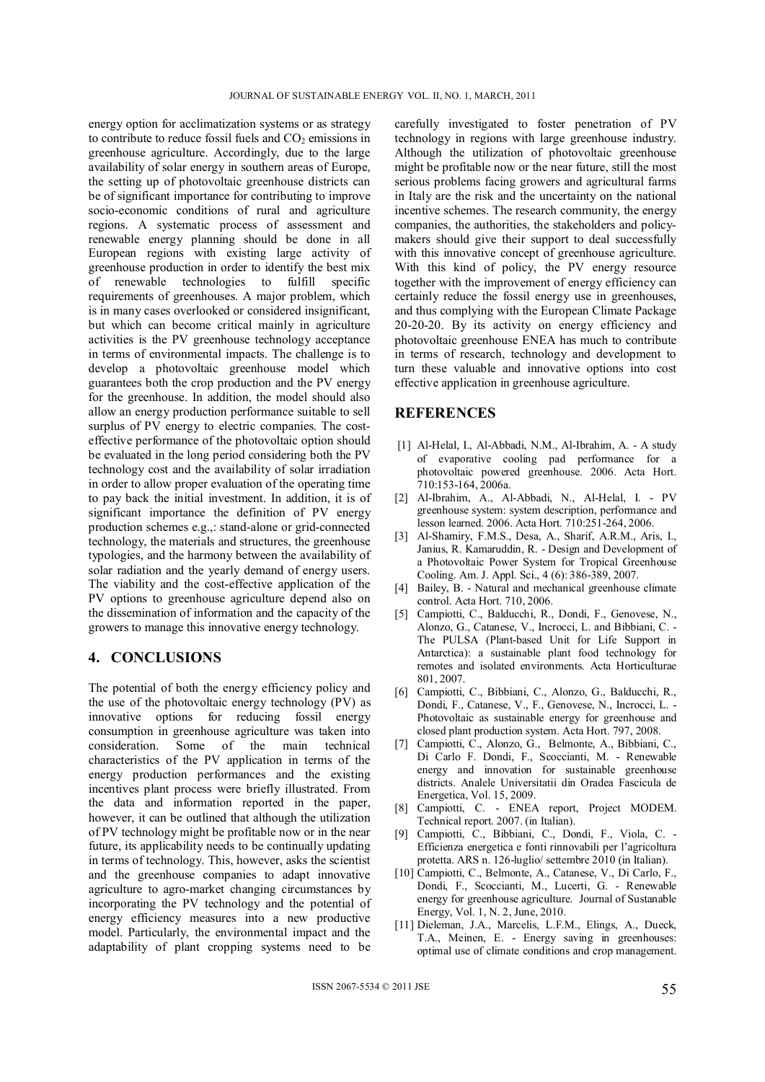energy option for acclimatization systems or as strategy to contribute to reduce fossil fuels and  $CO<sub>2</sub>$  emissions in greenhouse agriculture. Accordingly, due to the large availability of solar energy in southern areas of Europe, the setting up of photovoltaic greenhouse districts can be of significant importance for contributing to improve socio-economic conditions of rural and agriculture regions. A systematic process of assessment and renewable energy planning should be done in all European regions with existing large activity of greenhouse production in order to identify the best mix of renewable technologies to fulfill specific requirements of greenhouses. A major problem, which is in many cases overlooked or considered insignificant, but which can become critical mainly in agriculture activities is the PV greenhouse technology acceptance in terms of environmental impacts. The challenge is to develop a photovoltaic greenhouse model which guarantees both the crop production and the PV energy for the greenhouse. In addition, the model should also allow an energy production performance suitable to sell surplus of PV energy to electric companies. The costeffective performance of the photovoltaic option should be evaluated in the long period considering both the PV technology cost and the availability of solar irradiation in order to allow proper evaluation of the operating time to pay back the initial investment. In addition, it is of significant importance the definition of PV energy production schemes e.g.,: stand-alone or grid-connected technology, the materials and structures, the greenhouse typologies, and the harmony between the availability of solar radiation and the yearly demand of energy users. The viability and the cost-effective application of the PV options to greenhouse agriculture depend also on the dissemination of information and the capacity of the growers to manage this innovative energy technology.

## **4. CONCLUSIONS**

The potential of both the energy efficiency policy and the use of the photovoltaic energy technology (PV) as innovative options for reducing fossil energy consumption in greenhouse agriculture was taken into consideration. Some of the main technical characteristics of the PV application in terms of the energy production performances and the existing incentives plant process were briefly illustrated. From the data and information reported in the paper, however, it can be outlined that although the utilization of PV technology might be profitable now or in the near future, its applicability needs to be continually updating in terms of technology. This, however, asks the scientist and the greenhouse companies to adapt innovative agriculture to agro-market changing circumstances by incorporating the PV technology and the potential of energy efficiency measures into a new productive model. Particularly, the environmental impact and the adaptability of plant cropping systems need to be

carefully investigated to foster penetration of PV technology in regions with large greenhouse industry. Although the utilization of photovoltaic greenhouse might be profitable now or the near future, still the most serious problems facing growers and agricultural farms in Italy are the risk and the uncertainty on the national incentive schemes. The research community, the energy companies, the authorities, the stakeholders and policymakers should give their support to deal successfully with this innovative concept of greenhouse agriculture. With this kind of policy, the PV energy resource together with the improvement of energy efficiency can certainly reduce the fossil energy use in greenhouses, and thus complying with the European Climate Package 20-20-20. By its activity on energy efficiency and photovoltaic greenhouse ENEA has much to contribute in terms of research, technology and development to turn these valuable and innovative options into cost effective application in greenhouse agriculture.

### **REFERENCES**

- [1] Al-Helal, I., Al-Abbadi, N.M., Al-Ibrahim, A. A study of evaporative cooling pad performance for a photovoltaic powered greenhouse. 2006. Acta Hort. 710:153-164, 2006a.
- [2] Al-Ibrahim, A., Al-Abbadi, N., Al-Helal, I. PV greenhouse system: system description, performance and lesson learned. 2006. Acta Hort. 710:251-264, 2006.
- [3] Al-Shamiry, F.M.S., Desa, A., Sharif, A.R.M., Aris, I., Janius, R. Kamaruddin, R. - Design and Development of a Photovoltaic Power System for Tropical Greenhouse Cooling. Am. J. Appl. Sci., 4 (6): 386-389, 2007.
- [4] Bailey, B. Natural and mechanical greenhouse climate control. Acta Hort. 710, 2006.
- [5] Campiotti, C., Balducchi, R., Dondi, F., Genovese, N., Alonzo, G., Catanese, V., Incrocci, L. and Bibbiani, C. - The PULSA (Plant-based Unit for Life Support in Antarctica): a sustainable plant food technology for remotes and isolated environments. Acta Horticulturae 801, 2007.
- [6] Campiotti, C., Bibbiani, C., Alonzo, G., Balducchi, R., Dondi, F., Catanese, V., F., Genovese, N., Incrocci, L. - Photovoltaic as sustainable energy for greenhouse and closed plant production system. Acta Hort. 797, 2008.
- [7] Campiotti, C., Alonzo, G., Belmonte, A., Bibbiani, C., Di Carlo F. Dondi, F., Scoccianti, M. - Renewable energy and innovation for sustainable greenhouse districts. Analele Universitatii din Oradea Fascicula de Energetica, Vol. 15, 2009.
- [8] Campiotti, C. ENEA report, Project MODEM. Technical report. 2007. (in Italian).
- [9] Campiotti, C., Bibbiani, C., Dondi, F., Viola, C. Efficienza energetica e fonti rinnovabili per l'agricoltura protetta. ARS n. 126-luglio/ settembre 2010 (in Italian).
- [10] Campiotti, C., Belmonte, A., Catanese, V., Di Carlo, F., Dondi, F., Scoccianti, M., Lucerti, G. - Renewable energy for greenhouse agriculture. Journal of Sustanable Energy, Vol. 1, N. 2, June, 2010.
- [11] Dieleman, J.A., Marcelis, L.F.M., Elings, A., Dueck, T.A., Meinen, E. - Energy saving in greenhouses: optimal use of climate conditions and crop management.